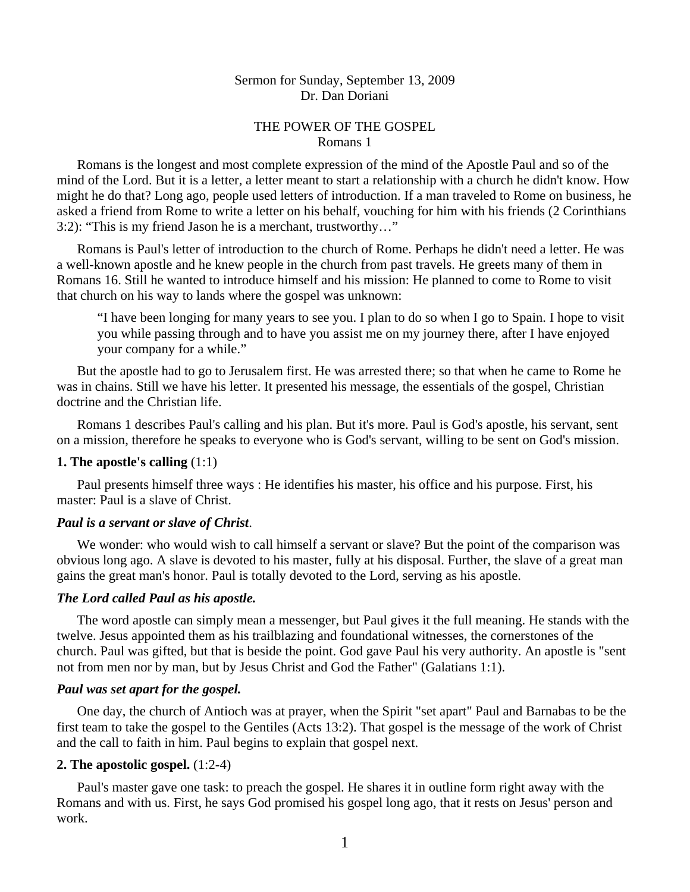# Sermon for Sunday, September 13, 2009 Dr. Dan Doriani

# THE POWER OF THE GOSPEL Romans 1

 Romans is the longest and most complete expression of the mind of the Apostle Paul and so of the mind of the Lord. But it is a letter, a letter meant to start a relationship with a church he didn't know. How might he do that? Long ago, people used letters of introduction. If a man traveled to Rome on business, he asked a friend from Rome to write a letter on his behalf, vouching for him with his friends (2 Corinthians 3:2): "This is my friend Jason he is a merchant, trustworthy…"

 Romans is Paul's letter of introduction to the church of Rome. Perhaps he didn't need a letter. He was a well-known apostle and he knew people in the church from past travels. He greets many of them in Romans 16. Still he wanted to introduce himself and his mission: He planned to come to Rome to visit that church on his way to lands where the gospel was unknown:

"I have been longing for many years to see you. I plan to do so when I go to Spain. I hope to visit you while passing through and to have you assist me on my journey there, after I have enjoyed your company for a while."

 But the apostle had to go to Jerusalem first. He was arrested there; so that when he came to Rome he was in chains. Still we have his letter. It presented his message, the essentials of the gospel, Christian doctrine and the Christian life.

 Romans 1 describes Paul's calling and his plan. But it's more. Paul is God's apostle, his servant, sent on a mission, therefore he speaks to everyone who is God's servant, willing to be sent on God's mission.

## **1. The apostle's calling** (1:1)

Paul presents himself three ways : He identifies his master, his office and his purpose. First, his master: Paul is a slave of Christ.

#### *Paul is a servant or slave of Christ*.

We wonder: who would wish to call himself a servant or slave? But the point of the comparison was obvious long ago. A slave is devoted to his master, fully at his disposal. Further, the slave of a great man gains the great man's honor. Paul is totally devoted to the Lord, serving as his apostle.

#### *The Lord called Paul as his apostle.*

The word apostle can simply mean a messenger, but Paul gives it the full meaning. He stands with the twelve. Jesus appointed them as his trailblazing and foundational witnesses, the cornerstones of the church. Paul was gifted, but that is beside the point. God gave Paul his very authority. An apostle is "sent not from men nor by man, but by Jesus Christ and God the Father" (Galatians 1:1).

# *Paul was set apart for the gospel.*

One day, the church of Antioch was at prayer, when the Spirit "set apart" Paul and Barnabas to be the first team to take the gospel to the Gentiles (Acts 13:2). That gospel is the message of the work of Christ and the call to faith in him. Paul begins to explain that gospel next.

### **2. The apostolic gospel.** (1:2-4)

Paul's master gave one task: to preach the gospel. He shares it in outline form right away with the Romans and with us. First, he says God promised his gospel long ago, that it rests on Jesus' person and work.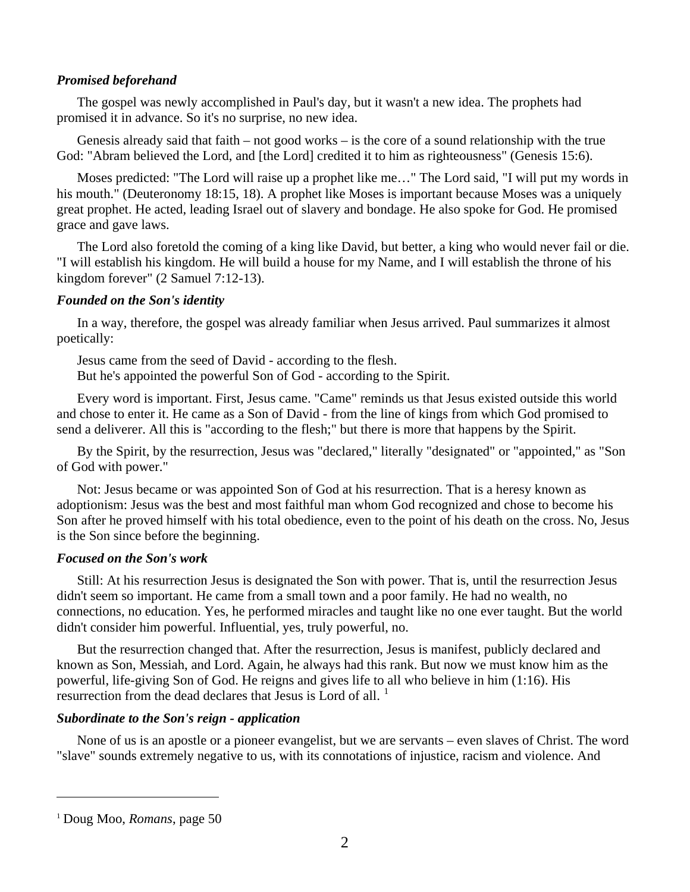# *Promised beforehand*

The gospel was newly accomplished in Paul's day, but it wasn't a new idea. The prophets had promised it in advance. So it's no surprise, no new idea.

 Genesis already said that faith – not good works – is the core of a sound relationship with the true God: "Abram believed the Lord, and [the Lord] credited it to him as righteousness" (Genesis 15:6).

 Moses predicted: "The Lord will raise up a prophet like me…" The Lord said, "I will put my words in his mouth." (Deuteronomy 18:15, 18). A prophet like Moses is important because Moses was a uniquely great prophet. He acted, leading Israel out of slavery and bondage. He also spoke for God. He promised grace and gave laws.

 The Lord also foretold the coming of a king like David, but better, a king who would never fail or die. "I will establish his kingdom. He will build a house for my Name, and I will establish the throne of his kingdom forever" (2 Samuel 7:12-13).

# *Founded on the Son's identity*

In a way, therefore, the gospel was already familiar when Jesus arrived. Paul summarizes it almost poetically:

 Jesus came from the seed of David - according to the flesh. But he's appointed the powerful Son of God - according to the Spirit.

 Every word is important. First, Jesus came. "Came" reminds us that Jesus existed outside this world and chose to enter it. He came as a Son of David - from the line of kings from which God promised to send a deliverer. All this is "according to the flesh;" but there is more that happens by the Spirit.

 By the Spirit, by the resurrection, Jesus was "declared," literally "designated" or "appointed," as "Son of God with power."

 Not: Jesus became or was appointed Son of God at his resurrection. That is a heresy known as adoptionism: Jesus was the best and most faithful man whom God recognized and chose to become his Son after he proved himself with his total obedience, even to the point of his death on the cross. No, Jesus is the Son since before the beginning.

# *Focused on the Son's work*

 Still: At his resurrection Jesus is designated the Son with power. That is, until the resurrection Jesus didn't seem so important. He came from a small town and a poor family. He had no wealth, no connections, no education. Yes, he performed miracles and taught like no one ever taught. But the world didn't consider him powerful. Influential, yes, truly powerful, no.

 But the resurrection changed that. After the resurrection, Jesus is manifest, publicly declared and known as Son, Messiah, and Lord. Again, he always had this rank. But now we must know him as the powerful, life-giving Son of God. He reigns and gives life to all who believe in him (1:16). His resurrection from the dead declares that Jesus is Lord of all. [1](#page-1-0)

# *Subordinate to the Son's reign - application*

None of us is an apostle or a pioneer evangelist, but we are servants – even slaves of Christ. The word "slave" sounds extremely negative to us, with its connotations of injustice, racism and violence. And

l

<span id="page-1-0"></span><sup>1</sup> Doug Moo, *Romans*, page 50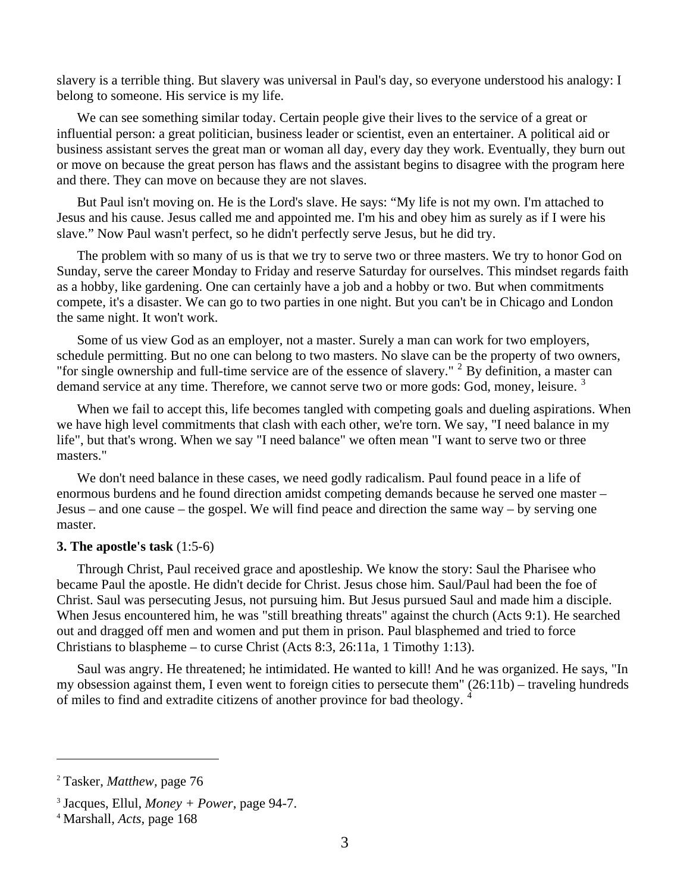slavery is a terrible thing. But slavery was universal in Paul's day, so everyone understood his analogy: I belong to someone. His service is my life.

 We can see something similar today. Certain people give their lives to the service of a great or influential person: a great politician, business leader or scientist, even an entertainer. A political aid or business assistant serves the great man or woman all day, every day they work. Eventually, they burn out or move on because the great person has flaws and the assistant begins to disagree with the program here and there. They can move on because they are not slaves.

 But Paul isn't moving on. He is the Lord's slave. He says: "My life is not my own. I'm attached to Jesus and his cause. Jesus called me and appointed me. I'm his and obey him as surely as if I were his slave." Now Paul wasn't perfect, so he didn't perfectly serve Jesus, but he did try.

 The problem with so many of us is that we try to serve two or three masters. We try to honor God on Sunday, serve the career Monday to Friday and reserve Saturday for ourselves. This mindset regards faith as a hobby, like gardening. One can certainly have a job and a hobby or two. But when commitments compete, it's a disaster. We can go to two parties in one night. But you can't be in Chicago and London the same night. It won't work.

 Some of us view God as an employer, not a master. Surely a man can work for two employers, schedule permitting. But no one can belong to two masters. No slave can be the property of two owners, "for single ownership and full-time service are of the essence of slavery." <sup>[2](#page-2-0)</sup> By definition, a master can demand service at any time. Therefore, we cannot serve two or more gods: God, money, leisure.<sup>[3](#page-2-1)</sup>

When we fail to accept this, life becomes tangled with competing goals and dueling aspirations. When we have high level commitments that clash with each other, we're torn. We say, "I need balance in my life", but that's wrong. When we say "I need balance" we often mean "I want to serve two or three masters."

We don't need balance in these cases, we need godly radicalism. Paul found peace in a life of enormous burdens and he found direction amidst competing demands because he served one master – Jesus – and one cause – the gospel. We will find peace and direction the same way – by serving one master.

# **3. The apostle's task** (1:5-6)

Through Christ, Paul received grace and apostleship. We know the story: Saul the Pharisee who became Paul the apostle. He didn't decide for Christ. Jesus chose him. Saul/Paul had been the foe of Christ. Saul was persecuting Jesus, not pursuing him. But Jesus pursued Saul and made him a disciple. When Jesus encountered him, he was "still breathing threats" against the church (Acts 9:1). He searched out and dragged off men and women and put them in prison. Paul blasphemed and tried to force Christians to blaspheme – to curse Christ (Acts 8:3, 26:11a, 1 Timothy 1:13).

Saul was angry. He threatened; he intimidated. He wanted to kill! And he was organized. He says, "In my obsession against them, I even went to foreign cities to persecute them" (26:11b) – traveling hundreds of miles to find and extradite citizens of another province for bad theology. [4](#page-2-2)

 $\overline{a}$ 

<span id="page-2-0"></span><sup>2</sup> Tasker, *Matthew,* page 76

<span id="page-2-1"></span><sup>3</sup> Jacques, Ellul, *Money + Power*, page 94-7. 4 Marshall, *Acts,* page 168

<span id="page-2-2"></span>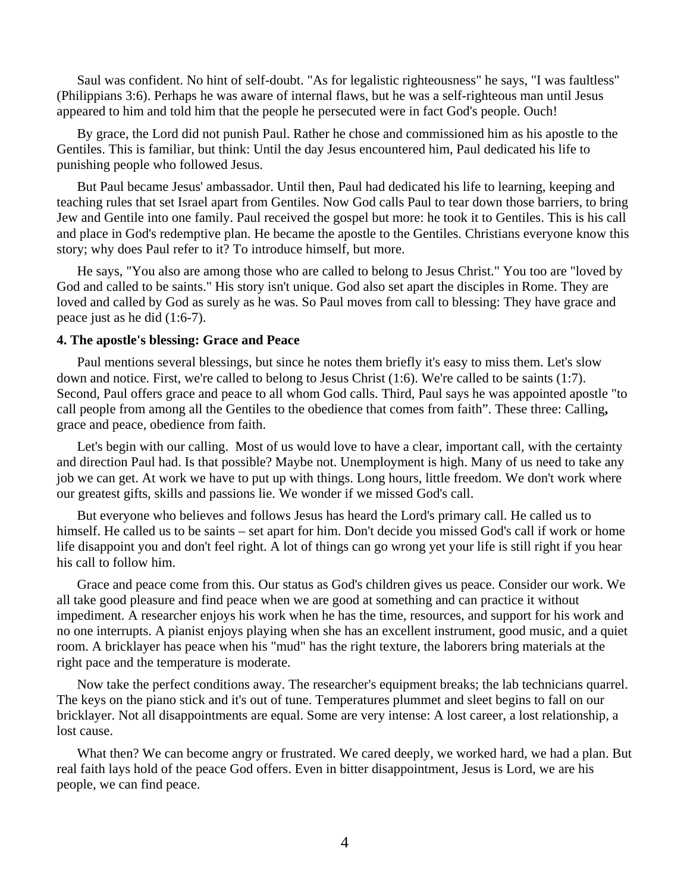Saul was confident. No hint of self-doubt. "As for legalistic righteousness" he says, "I was faultless" (Philippians 3:6). Perhaps he was aware of internal flaws, but he was a self-righteous man until Jesus appeared to him and told him that the people he persecuted were in fact God's people. Ouch!

 By grace, the Lord did not punish Paul. Rather he chose and commissioned him as his apostle to the Gentiles. This is familiar, but think: Until the day Jesus encountered him, Paul dedicated his life to punishing people who followed Jesus.

 But Paul became Jesus' ambassador. Until then, Paul had dedicated his life to learning, keeping and teaching rules that set Israel apart from Gentiles. Now God calls Paul to tear down those barriers, to bring Jew and Gentile into one family. Paul received the gospel but more: he took it to Gentiles. This is his call and place in God's redemptive plan. He became the apostle to the Gentiles. Christians everyone know this story; why does Paul refer to it? To introduce himself, but more.

 He says, "You also are among those who are called to belong to Jesus Christ." You too are "loved by God and called to be saints." His story isn't unique. God also set apart the disciples in Rome. They are loved and called by God as surely as he was. So Paul moves from call to blessing: They have grace and peace just as he did (1:6-7).

### **4. The apostle's blessing: Grace and Peace**

Paul mentions several blessings, but since he notes them briefly it's easy to miss them. Let's slow down and notice. First, we're called to belong to Jesus Christ (1:6). We're called to be saints (1:7). Second, Paul offers grace and peace to all whom God calls. Third, Paul says he was appointed apostle "to call people from among all the Gentiles to the obedience that comes from faith". These three: Calling**,**  grace and peace, obedience from faith.

 Let's begin with our calling. Most of us would love to have a clear, important call, with the certainty and direction Paul had. Is that possible? Maybe not. Unemployment is high. Many of us need to take any job we can get. At work we have to put up with things. Long hours, little freedom. We don't work where our greatest gifts, skills and passions lie. We wonder if we missed God's call.

 But everyone who believes and follows Jesus has heard the Lord's primary call. He called us to himself. He called us to be saints – set apart for him. Don't decide you missed God's call if work or home life disappoint you and don't feel right. A lot of things can go wrong yet your life is still right if you hear his call to follow him.

 Grace and peace come from this. Our status as God's children gives us peace. Consider our work. We all take good pleasure and find peace when we are good at something and can practice it without impediment. A researcher enjoys his work when he has the time, resources, and support for his work and no one interrupts. A pianist enjoys playing when she has an excellent instrument, good music, and a quiet room. A bricklayer has peace when his "mud" has the right texture, the laborers bring materials at the right pace and the temperature is moderate.

 Now take the perfect conditions away. The researcher's equipment breaks; the lab technicians quarrel. The keys on the piano stick and it's out of tune. Temperatures plummet and sleet begins to fall on our bricklayer. Not all disappointments are equal. Some are very intense: A lost career, a lost relationship, a lost cause.

 What then? We can become angry or frustrated. We cared deeply, we worked hard, we had a plan. But real faith lays hold of the peace God offers. Even in bitter disappointment, Jesus is Lord, we are his people, we can find peace.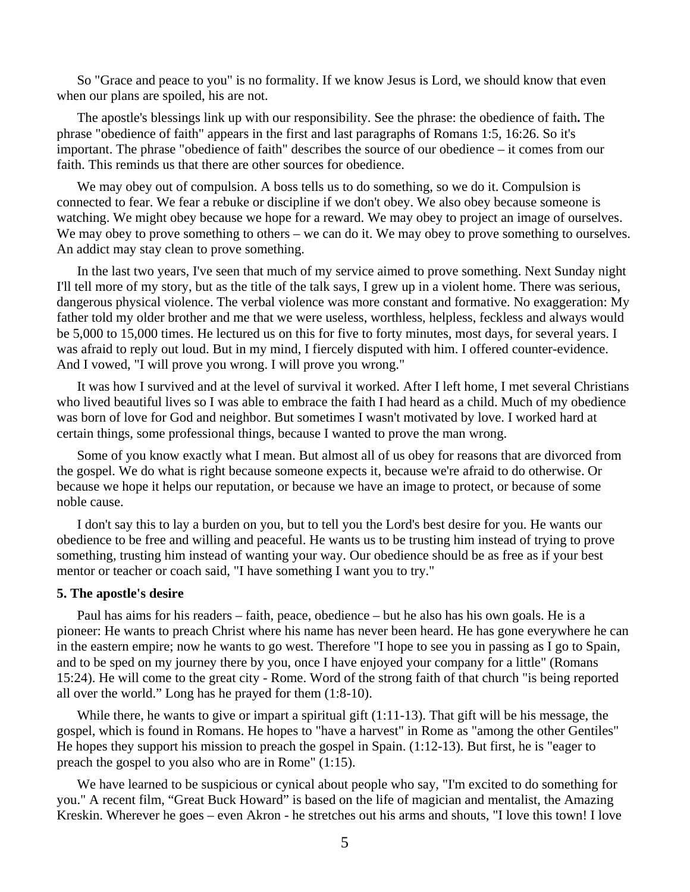So "Grace and peace to you" is no formality. If we know Jesus is Lord, we should know that even when our plans are spoiled, his are not.

 The apostle's blessings link up with our responsibility. See the phrase: the obedience of faith**.** The phrase "obedience of faith" appears in the first and last paragraphs of Romans 1:5, 16:26. So it's important. The phrase "obedience of faith" describes the source of our obedience – it comes from our faith. This reminds us that there are other sources for obedience.

We may obey out of compulsion. A boss tells us to do something, so we do it. Compulsion is connected to fear. We fear a rebuke or discipline if we don't obey. We also obey because someone is watching. We might obey because we hope for a reward. We may obey to project an image of ourselves. We may obey to prove something to others – we can do it. We may obey to prove something to ourselves. An addict may stay clean to prove something.

 In the last two years, I've seen that much of my service aimed to prove something. Next Sunday night I'll tell more of my story, but as the title of the talk says, I grew up in a violent home. There was serious, dangerous physical violence. The verbal violence was more constant and formative. No exaggeration: My father told my older brother and me that we were useless, worthless, helpless, feckless and always would be 5,000 to 15,000 times. He lectured us on this for five to forty minutes, most days, for several years. I was afraid to reply out loud. But in my mind, I fiercely disputed with him. I offered counter-evidence. And I vowed, "I will prove you wrong. I will prove you wrong."

 It was how I survived and at the level of survival it worked. After I left home, I met several Christians who lived beautiful lives so I was able to embrace the faith I had heard as a child. Much of my obedience was born of love for God and neighbor. But sometimes I wasn't motivated by love. I worked hard at certain things, some professional things, because I wanted to prove the man wrong.

 Some of you know exactly what I mean. But almost all of us obey for reasons that are divorced from the gospel. We do what is right because someone expects it, because we're afraid to do otherwise. Or because we hope it helps our reputation, or because we have an image to protect, or because of some noble cause.

 I don't say this to lay a burden on you, but to tell you the Lord's best desire for you. He wants our obedience to be free and willing and peaceful. He wants us to be trusting him instead of trying to prove something, trusting him instead of wanting your way. Our obedience should be as free as if your best mentor or teacher or coach said, "I have something I want you to try."

# **5. The apostle's desire**

 Paul has aims for his readers – faith, peace, obedience – but he also has his own goals. He is a pioneer: He wants to preach Christ where his name has never been heard. He has gone everywhere he can in the eastern empire; now he wants to go west. Therefore "I hope to see you in passing as I go to Spain, and to be sped on my journey there by you, once I have enjoyed your company for a little" (Romans 15:24). He will come to the great city - Rome. Word of the strong faith of that church "is being reported all over the world." Long has he prayed for them (1:8-10).

While there, he wants to give or impart a spiritual gift (1:11-13). That gift will be his message, the gospel, which is found in Romans. He hopes to "have a harvest" in Rome as "among the other Gentiles" He hopes they support his mission to preach the gospel in Spain. (1:12-13). But first, he is "eager to preach the gospel to you also who are in Rome" (1:15).

We have learned to be suspicious or cynical about people who say, "I'm excited to do something for you." A recent film, "Great Buck Howard" is based on the life of magician and mentalist, the Amazing Kreskin. Wherever he goes – even Akron - he stretches out his arms and shouts, "I love this town! I love